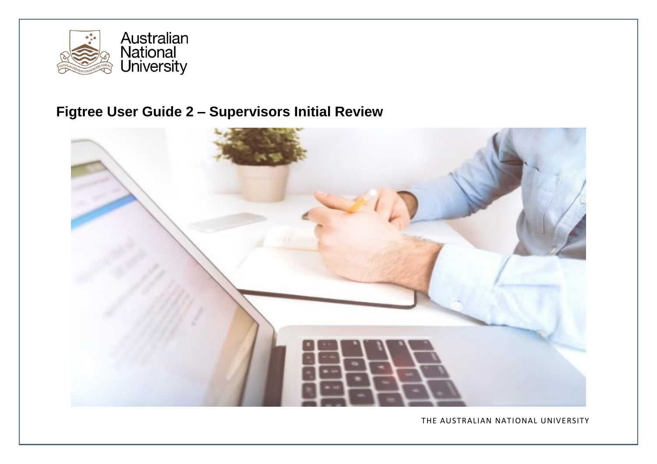

# **Figtree User Guide 2 – Supervisors Initial Review**



THE AUSTRALIAN NATIONAL UNIVERSITY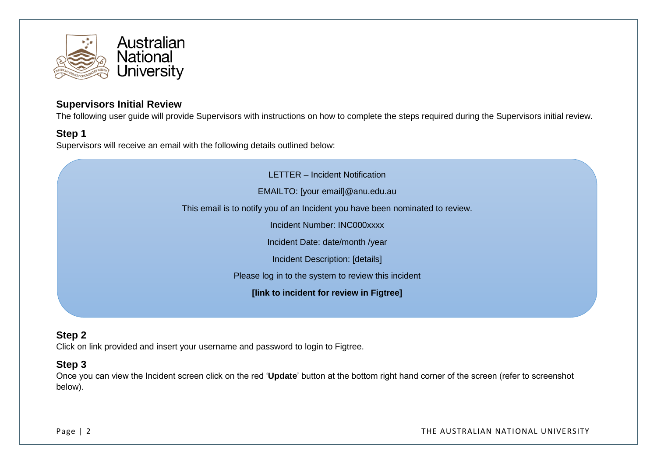

#### **Supervisors Initial Review**

The following user guide will provide Supervisors with instructions on how to complete the steps required during the Supervisors initial review.

#### **Step 1**

Supervisors will receive an email with the following details outlined below:

LETTER – Incident Notification

EMAILTO: [your email]@anu.edu.au

This email is to notify you of an Incident you have been nominated to review.

Incident Number: INC000xxxx

Incident Date: date/month /year

Incident Description: [details]

Please log in to the system to review this incident

**[link to incident for review in Figtree]** 

## **Step 2**

Click on link provided and insert your username and password to login to Figtree.

### **Step 3**

Once you can view the Incident screen click on the red '**Update**' button at the bottom right hand corner of the screen (refer to screenshot below).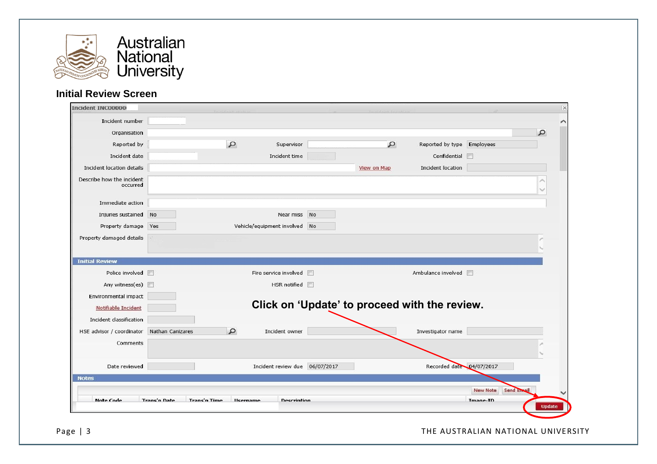

# **Initial Review Screen**

| <b>Incident INC00000</b>              |                         |              |                                |              |                                               |                 |              |  |
|---------------------------------------|-------------------------|--------------|--------------------------------|--------------|-----------------------------------------------|-----------------|--------------|--|
| Incident number                       |                         |              |                                |              |                                               |                 |              |  |
| Organisation                          |                         |              |                                |              |                                               |                 | $\mathbf{Q}$ |  |
| Reported by                           |                         | $\mathbf{Q}$ | Supervisor                     | $\mathbf{Q}$ | Reported by type Employees                    |                 |              |  |
| Incident date                         |                         |              | Incident time                  |              | Confidential                                  | 同               |              |  |
| Incident location details             |                         |              |                                | View on Map  | Incident location                             |                 |              |  |
| Describe how the incident<br>occurred |                         |              |                                |              |                                               |                 |              |  |
| Immediate action                      |                         |              |                                |              |                                               |                 |              |  |
| Injuries sustained No                 |                         |              | Near miss No                   |              |                                               |                 |              |  |
| Property damage Yes                   |                         |              | Vehicle/equipment involved No  |              |                                               |                 |              |  |
| Property damaged details              |                         |              |                                |              |                                               |                 |              |  |
| <b>Initial Review</b>                 |                         |              |                                |              |                                               |                 |              |  |
| Police involved <b>F</b>              |                         |              | Fire service involved          |              | Ambulance involved                            |                 |              |  |
| Any witness(es)                       |                         |              | HSR notified                   |              |                                               |                 |              |  |
|                                       |                         |              |                                |              |                                               |                 |              |  |
| Environmental impact                  |                         |              |                                |              |                                               |                 |              |  |
| Notifiable Incident                   |                         |              |                                |              | Click on 'Update' to proceed with the review. |                 |              |  |
| Incident classification               |                         |              |                                |              |                                               |                 |              |  |
|                                       | <b>Nathan Canizares</b> | $\alpha$     | Incident owner                 |              | Investigator name                             |                 |              |  |
| HSE advisor / coordinator<br>Comments |                         |              |                                |              |                                               |                 |              |  |
|                                       |                         |              |                                |              |                                               |                 |              |  |
| Date reviewed                         |                         |              | Incident review due 06/07/2017 |              | Recorded date 04/07/2017                      |                 |              |  |
|                                       |                         |              |                                |              |                                               |                 |              |  |
| <b>Notes</b>                          |                         |              |                                |              |                                               | <b>New Note</b> | Send Email   |  |

Page | 3 THE AUSTRALIAN NATIONAL UNIVERSITY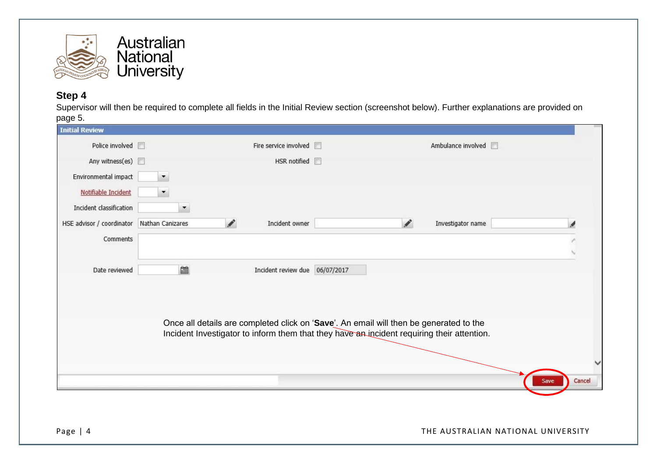

# **Step 4**

Supervisor will then be required to complete all fields in the Initial Review section (screenshot below). Further explanations are provided on page 5

| <b>Initial Review</b>     |                      |                                                                                                                                                                                      |   |                      |                |
|---------------------------|----------------------|--------------------------------------------------------------------------------------------------------------------------------------------------------------------------------------|---|----------------------|----------------|
| Police involved $\Box$    |                      | Fire service involved                                                                                                                                                                |   | Ambulance involved a |                |
| Any witness(es)           |                      | HSR notified                                                                                                                                                                         |   |                      |                |
| Environmental impact      | $\bullet$            |                                                                                                                                                                                      |   |                      |                |
| Notifiable Incident       |                      |                                                                                                                                                                                      |   |                      |                |
| Incident classification   | $\blacktriangledown$ |                                                                                                                                                                                      |   |                      |                |
| HSE advisor / coordinator | Nathan Canizares     | Î<br>Incident owner                                                                                                                                                                  | ℐ | Investigator name    |                |
| Comments                  |                      |                                                                                                                                                                                      |   |                      |                |
|                           |                      |                                                                                                                                                                                      |   |                      |                |
| Date reviewed             | 篇                    | Incident review due 06/07/2017                                                                                                                                                       |   |                      |                |
|                           |                      |                                                                                                                                                                                      |   |                      |                |
|                           |                      | Once all details are completed click on 'Save'. An email will then be generated to the<br>Incident Investigator to inform them that they have an incident requiring their attention. |   |                      |                |
|                           |                      |                                                                                                                                                                                      |   |                      |                |
|                           |                      |                                                                                                                                                                                      |   |                      |                |
|                           |                      |                                                                                                                                                                                      |   |                      | Cancel<br>Save |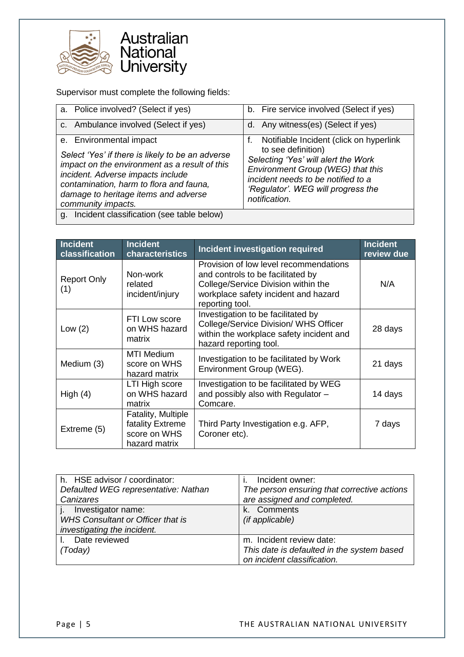



Supervisor must complete the following fields:

| a. Police involved? (Select if yes)                                                                                                                                                                                                             | b. Fire service involved (Select if yes)                                                                                                                                                    |
|-------------------------------------------------------------------------------------------------------------------------------------------------------------------------------------------------------------------------------------------------|---------------------------------------------------------------------------------------------------------------------------------------------------------------------------------------------|
| c. Ambulance involved (Select if yes)                                                                                                                                                                                                           | d. Any witness(es) (Select if yes)                                                                                                                                                          |
| e. Environmental impact                                                                                                                                                                                                                         | Notifiable Incident (click on hyperlink<br>f.                                                                                                                                               |
| Select 'Yes' if there is likely to be an adverse<br>impact on the environment as a result of this<br>incident. Adverse impacts include<br>contamination, harm to flora and fauna,<br>damage to heritage items and adverse<br>community impacts. | to see definition)<br>Selecting 'Yes' will alert the Work<br>Environment Group (WEG) that this<br>incident needs to be notified to a<br>'Regulator'. WEG will progress the<br>notification. |
| g. Incident classification (see table below)                                                                                                                                                                                                    |                                                                                                                                                                                             |

| <b>Incident</b><br>classification | <b>Incident</b><br>characteristics                                      | Incident investigation required                                                                                                                                               | <b>Incident</b><br>review due |
|-----------------------------------|-------------------------------------------------------------------------|-------------------------------------------------------------------------------------------------------------------------------------------------------------------------------|-------------------------------|
| <b>Report Only</b><br>(1)         | Non-work<br>related<br>incident/injury                                  | Provision of low level recommendations<br>and controls to be facilitated by<br>College/Service Division within the<br>workplace safety incident and hazard<br>reporting tool. | N/A                           |
| Low $(2)$                         | FTI Low score<br>on WHS hazard<br>matrix                                | Investigation to be facilitated by<br>College/Service Division/ WHS Officer<br>within the workplace safety incident and<br>hazard reporting tool.                             | 28 days                       |
| Medium (3)                        | <b>MTI Medium</b><br>score on WHS<br>hazard matrix                      | Investigation to be facilitated by Work<br>Environment Group (WEG).                                                                                                           | 21 days                       |
| High $(4)$                        | LTI High score<br>on WHS hazard<br>matrix                               | Investigation to be facilitated by WEG<br>and possibly also with Regulator -<br>Comcare.                                                                                      | 14 days                       |
| Extreme (5)                       | Fatality, Multiple<br>fatality Extreme<br>score on WHS<br>hazard matrix | Third Party Investigation e.g. AFP,<br>Coroner etc).                                                                                                                          | 7 days                        |

| h. HSE advisor / coordinator:            | Incident owner:                             |
|------------------------------------------|---------------------------------------------|
| Defaulted WEG representative: Nathan     | The person ensuring that corrective actions |
| Canizares                                | are assigned and completed.                 |
| Investigator name:                       | k. Comments                                 |
| <b>WHS Consultant or Officer that is</b> | (if applicable)                             |
| investigating the incident.              |                                             |
| I. Date reviewed                         | m. Incident review date:                    |
| (Today)                                  | This date is defaulted in the system based  |
|                                          | on incident classification.                 |